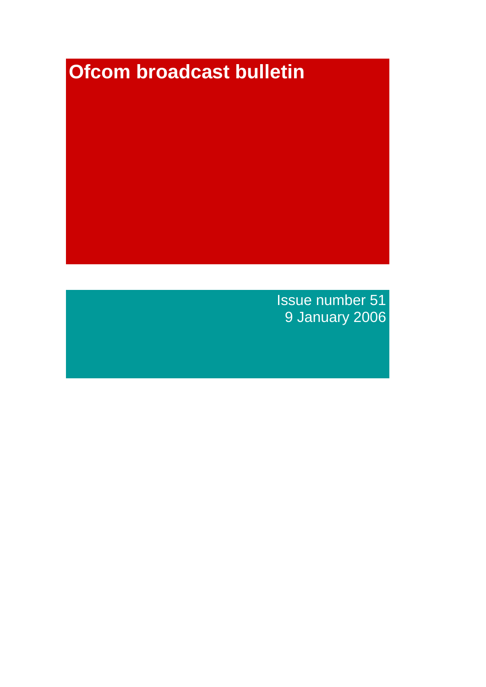# **Ofcom broadcast bulletin**

Issue number 51 9 January 2006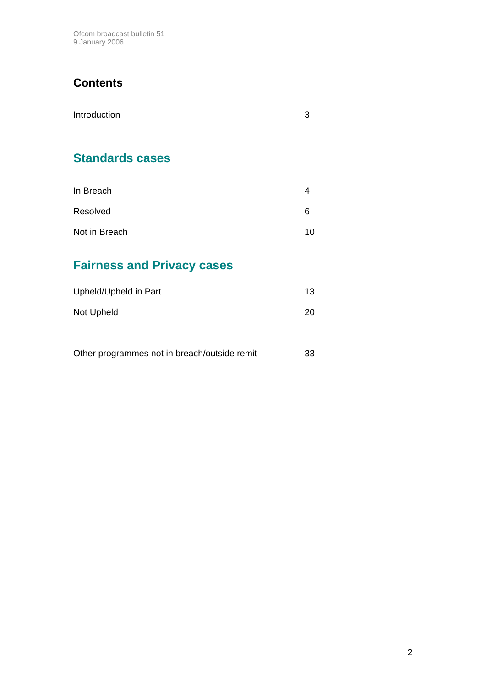Ofcom broadcast bulletin 51 9 January 2006

# **Contents**

| Introduction | 3 |
|--------------|---|
|              |   |
|              |   |

# **Standards cases**

| In Breach     |    |
|---------------|----|
| Resolved      | 6  |
| Not in Breach | 10 |

# **Fairness and Privacy cases**

| Upheld/Upheld in Part | 13        |
|-----------------------|-----------|
| Not Upheld            | <b>20</b> |

| Other programmes not in breach/outside remit | 33 |
|----------------------------------------------|----|
|----------------------------------------------|----|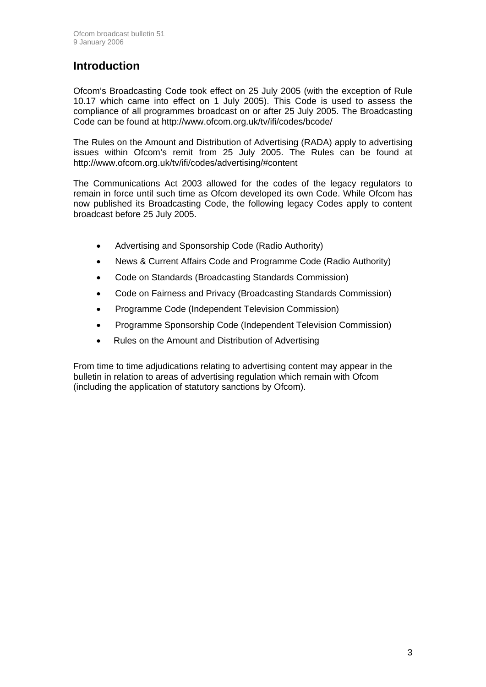### **Introduction**

Ofcom's Broadcasting Code took effect on 25 July 2005 (with the exception of Rule 10.17 which came into effect on 1 July 2005). This Code is used to assess the compliance of all programmes broadcast on or after 25 July 2005. The Broadcasting Code can be found at http://www.ofcom.org.uk/tv/ifi/codes/bcode/

The Rules on the Amount and Distribution of Advertising (RADA) apply to advertising issues within Ofcom's remit from 25 July 2005. The Rules can be found at http://www.ofcom.org.uk/tv/ifi/codes/advertising/#content

The Communications Act 2003 allowed for the codes of the legacy regulators to remain in force until such time as Ofcom developed its own Code. While Ofcom has now published its Broadcasting Code, the following legacy Codes apply to content broadcast before 25 July 2005.

- Advertising and Sponsorship Code (Radio Authority)
- News & Current Affairs Code and Programme Code (Radio Authority)
- Code on Standards (Broadcasting Standards Commission)
- Code on Fairness and Privacy (Broadcasting Standards Commission)
- Programme Code (Independent Television Commission)
- Programme Sponsorship Code (Independent Television Commission)
- Rules on the Amount and Distribution of Advertising

From time to time adjudications relating to advertising content may appear in the bulletin in relation to areas of advertising regulation which remain with Ofcom (including the application of statutory sanctions by Ofcom).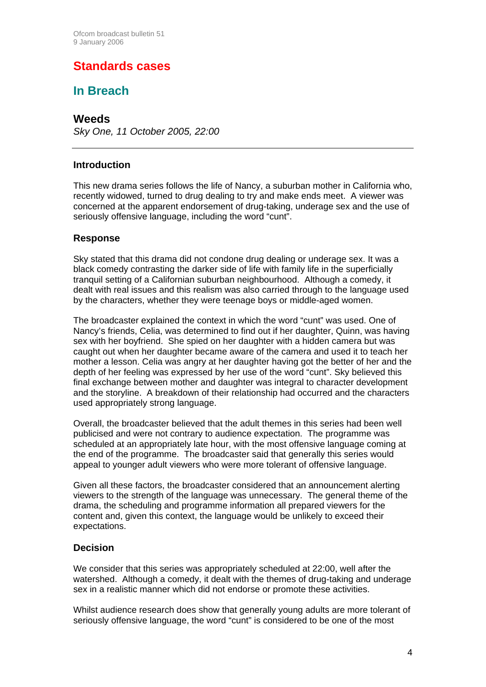## **Standards cases**

### **In Breach**

### **Weeds**

*Sky One, 11 October 2005, 22:00*

#### **Introduction**

This new drama series follows the life of Nancy, a suburban mother in California who, recently widowed, turned to drug dealing to try and make ends meet. A viewer was concerned at the apparent endorsement of drug-taking, underage sex and the use of seriously offensive language, including the word "cunt".

#### **Response**

Sky stated that this drama did not condone drug dealing or underage sex. It was a black comedy contrasting the darker side of life with family life in the superficially tranquil setting of a Californian suburban neighbourhood. Although a comedy, it dealt with real issues and this realism was also carried through to the language used by the characters, whether they were teenage boys or middle-aged women.

The broadcaster explained the context in which the word "cunt" was used. One of Nancy's friends, Celia, was determined to find out if her daughter, Quinn, was having sex with her boyfriend. She spied on her daughter with a hidden camera but was caught out when her daughter became aware of the camera and used it to teach her mother a lesson. Celia was angry at her daughter having got the better of her and the depth of her feeling was expressed by her use of the word "cunt". Sky believed this final exchange between mother and daughter was integral to character development and the storyline. A breakdown of their relationship had occurred and the characters used appropriately strong language.

Overall, the broadcaster believed that the adult themes in this series had been well publicised and were not contrary to audience expectation. The programme was scheduled at an appropriately late hour, with the most offensive language coming at the end of the programme. The broadcaster said that generally this series would appeal to younger adult viewers who were more tolerant of offensive language.

Given all these factors, the broadcaster considered that an announcement alerting viewers to the strength of the language was unnecessary. The general theme of the drama, the scheduling and programme information all prepared viewers for the content and, given this context, the language would be unlikely to exceed their expectations.

#### **Decision**

We consider that this series was appropriately scheduled at 22:00, well after the watershed. Although a comedy, it dealt with the themes of drug-taking and underage sex in a realistic manner which did not endorse or promote these activities.

Whilst audience research does show that generally young adults are more tolerant of seriously offensive language, the word "cunt" is considered to be one of the most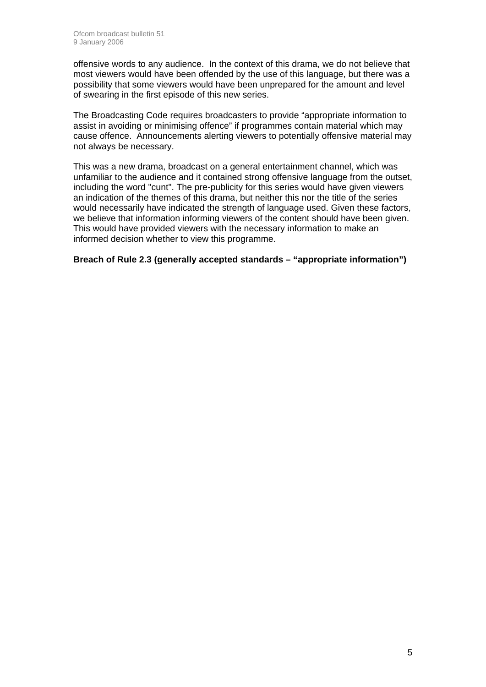offensive words to any audience. In the context of this drama, we do not believe that most viewers would have been offended by the use of this language, but there was a possibility that some viewers would have been unprepared for the amount and level of swearing in the first episode of this new series.

The Broadcasting Code requires broadcasters to provide "appropriate information to assist in avoiding or minimising offence" if programmes contain material which may cause offence. Announcements alerting viewers to potentially offensive material may not always be necessary.

This was a new drama, broadcast on a general entertainment channel, which was unfamiliar to the audience and it contained strong offensive language from the outset, including the word "cunt". The pre-publicity for this series would have given viewers an indication of the themes of this drama, but neither this nor the title of the series would necessarily have indicated the strength of language used. Given these factors, we believe that information informing viewers of the content should have been given. This would have provided viewers with the necessary information to make an informed decision whether to view this programme.

**Breach of Rule 2.3 (generally accepted standards – "appropriate information")**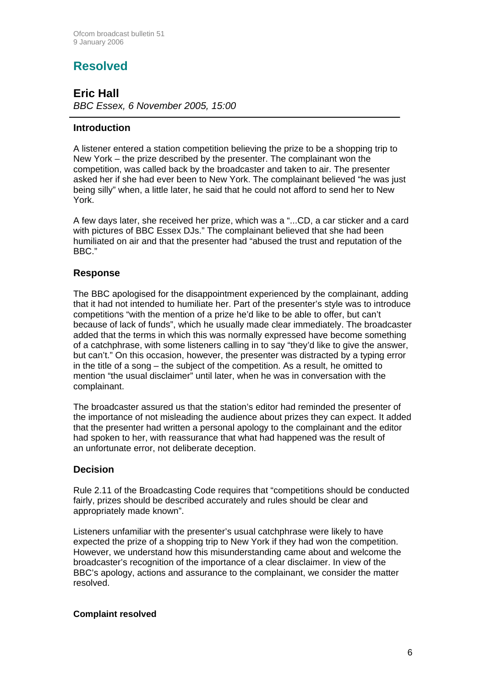# **Resolved**

**Eric Hall**  *BBC Essex, 6 November 2005, 15:00*

#### **Introduction**

A listener entered a station competition believing the prize to be a shopping trip to New York – the prize described by the presenter. The complainant won the competition, was called back by the broadcaster and taken to air. The presenter asked her if she had ever been to New York. The complainant believed "he was just being silly" when, a little later, he said that he could not afford to send her to New York.

A few days later, she received her prize, which was a "...CD, a car sticker and a card with pictures of BBC Essex DJs." The complainant believed that she had been humiliated on air and that the presenter had "abused the trust and reputation of the BBC."

#### **Response**

The BBC apologised for the disappointment experienced by the complainant, adding that it had not intended to humiliate her. Part of the presenter's style was to introduce competitions "with the mention of a prize he'd like to be able to offer, but can't because of lack of funds", which he usually made clear immediately. The broadcaster added that the terms in which this was normally expressed have become something of a catchphrase, with some listeners calling in to say "they'd like to give the answer, but can't." On this occasion, however, the presenter was distracted by a typing error in the title of a song – the subject of the competition. As a result, he omitted to mention "the usual disclaimer" until later, when he was in conversation with the complainant.

The broadcaster assured us that the station's editor had reminded the presenter of the importance of not misleading the audience about prizes they can expect. It added that the presenter had written a personal apology to the complainant and the editor had spoken to her, with reassurance that what had happened was the result of an unfortunate error, not deliberate deception.

#### **Decision**

Rule 2.11 of the Broadcasting Code requires that "competitions should be conducted fairly, prizes should be described accurately and rules should be clear and appropriately made known".

Listeners unfamiliar with the presenter's usual catchphrase were likely to have expected the prize of a shopping trip to New York if they had won the competition. However, we understand how this misunderstanding came about and welcome the broadcaster's recognition of the importance of a clear disclaimer. In view of the BBC's apology, actions and assurance to the complainant, we consider the matter resolved.

#### **Complaint resolved**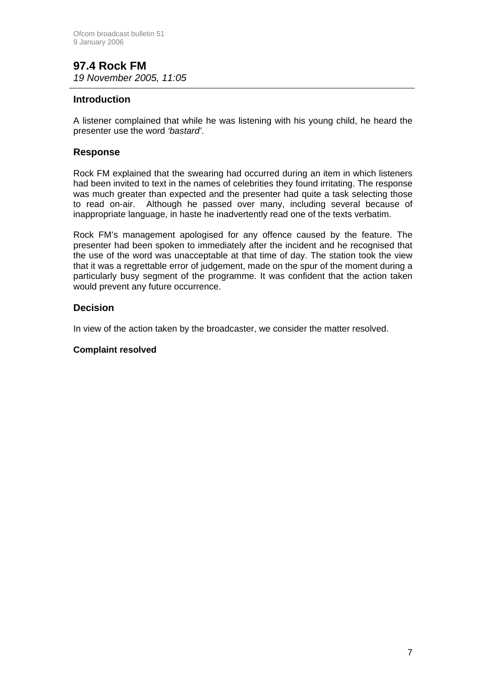#### **97.4 Rock FM**  *19 November 2005, 11:05*

#### **Introduction**

A listener complained that while he was listening with his young child, he heard the presenter use the word *'bastard'*.

#### **Response**

Rock FM explained that the swearing had occurred during an item in which listeners had been invited to text in the names of celebrities they found irritating. The response was much greater than expected and the presenter had quite a task selecting those to read on-air. Although he passed over many, including several because of inappropriate language, in haste he inadvertently read one of the texts verbatim.

Rock FM's management apologised for any offence caused by the feature. The presenter had been spoken to immediately after the incident and he recognised that the use of the word was unacceptable at that time of day. The station took the view that it was a regrettable error of judgement, made on the spur of the moment during a particularly busy segment of the programme. It was confident that the action taken would prevent any future occurrence.

#### **Decision**

In view of the action taken by the broadcaster, we consider the matter resolved.

#### **Complaint resolved**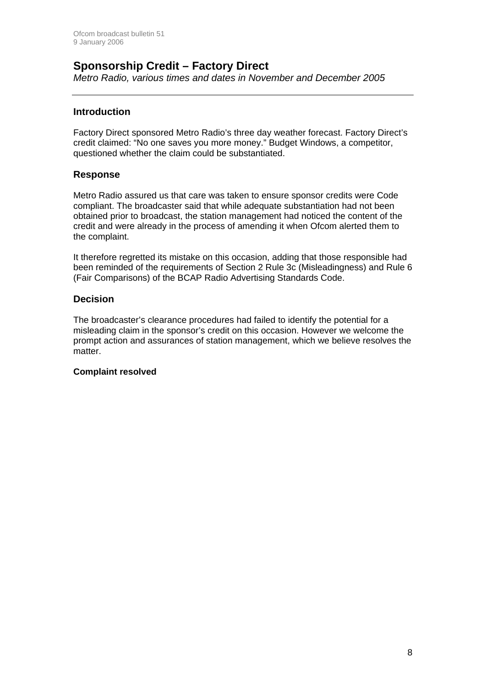### **Sponsorship Credit – Factory Direct**

*Metro Radio, various times and dates in November and December 2005*

#### **Introduction**

Factory Direct sponsored Metro Radio's three day weather forecast. Factory Direct's credit claimed: "No one saves you more money." Budget Windows, a competitor, questioned whether the claim could be substantiated.

#### **Response**

Metro Radio assured us that care was taken to ensure sponsor credits were Code compliant. The broadcaster said that while adequate substantiation had not been obtained prior to broadcast, the station management had noticed the content of the credit and were already in the process of amending it when Ofcom alerted them to the complaint.

It therefore regretted its mistake on this occasion, adding that those responsible had been reminded of the requirements of Section 2 Rule 3c (Misleadingness) and Rule 6 (Fair Comparisons) of the BCAP Radio Advertising Standards Code.

#### **Decision**

The broadcaster's clearance procedures had failed to identify the potential for a misleading claim in the sponsor's credit on this occasion. However we welcome the prompt action and assurances of station management, which we believe resolves the matter.

#### **Complaint resolved**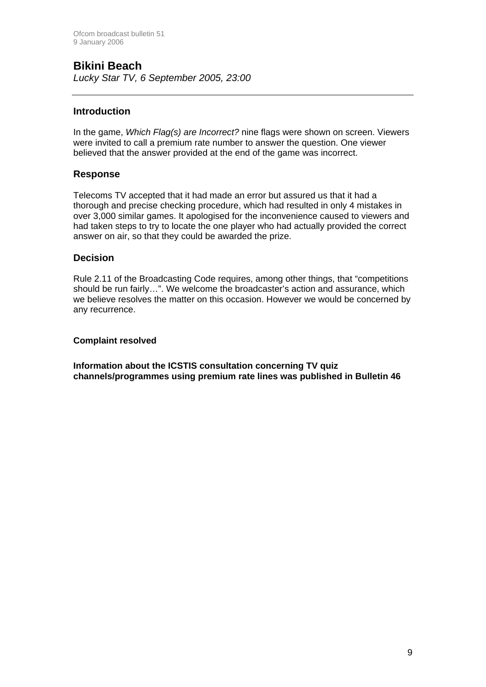# **Bikini Beach**

*Lucky Star TV, 6 September 2005, 23:00*

#### **Introduction**

In the game, *Which Flag(s) are Incorrect?* nine flags were shown on screen. Viewers were invited to call a premium rate number to answer the question. One viewer believed that the answer provided at the end of the game was incorrect.

#### **Response**

Telecoms TV accepted that it had made an error but assured us that it had a thorough and precise checking procedure, which had resulted in only 4 mistakes in over 3,000 similar games. It apologised for the inconvenience caused to viewers and had taken steps to try to locate the one player who had actually provided the correct answer on air, so that they could be awarded the prize.

#### **Decision**

Rule 2.11 of the Broadcasting Code requires, among other things, that "competitions should be run fairly…". We welcome the broadcaster's action and assurance, which we believe resolves the matter on this occasion. However we would be concerned by any recurrence.

#### **Complaint resolved**

**Information about the ICSTIS consultation concerning TV quiz channels/programmes using premium rate lines was published in Bulletin 46**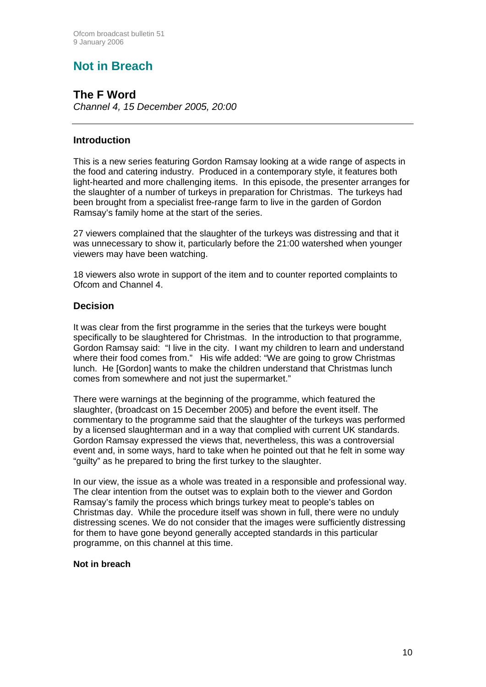# **Not in Breach**

**The F Word**  *Channel 4, 15 December 2005, 20:00*

#### **Introduction**

This is a new series featuring Gordon Ramsay looking at a wide range of aspects in the food and catering industry. Produced in a contemporary style, it features both light-hearted and more challenging items. In this episode, the presenter arranges for the slaughter of a number of turkeys in preparation for Christmas. The turkeys had been brought from a specialist free-range farm to live in the garden of Gordon Ramsay's family home at the start of the series.

27 viewers complained that the slaughter of the turkeys was distressing and that it was unnecessary to show it, particularly before the 21:00 watershed when younger viewers may have been watching.

18 viewers also wrote in support of the item and to counter reported complaints to Ofcom and Channel 4.

#### **Decision**

It was clear from the first programme in the series that the turkeys were bought specifically to be slaughtered for Christmas. In the introduction to that programme, Gordon Ramsay said: "I live in the city. I want my children to learn and understand where their food comes from." His wife added: "We are going to grow Christmas lunch. He [Gordon] wants to make the children understand that Christmas lunch comes from somewhere and not just the supermarket."

There were warnings at the beginning of the programme, which featured the slaughter, (broadcast on 15 December 2005) and before the event itself. The commentary to the programme said that the slaughter of the turkeys was performed by a licensed slaughterman and in a way that complied with current UK standards. Gordon Ramsay expressed the views that, nevertheless, this was a controversial event and, in some ways, hard to take when he pointed out that he felt in some way "guilty" as he prepared to bring the first turkey to the slaughter.

In our view, the issue as a whole was treated in a responsible and professional way. The clear intention from the outset was to explain both to the viewer and Gordon Ramsay's family the process which brings turkey meat to people's tables on Christmas day. While the procedure itself was shown in full, there were no unduly distressing scenes. We do not consider that the images were sufficiently distressing for them to have gone beyond generally accepted standards in this particular programme, on this channel at this time.

#### **Not in breach**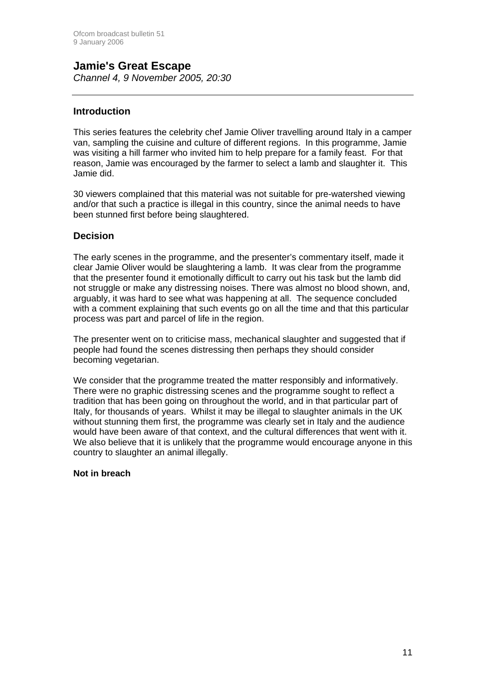### **Jamie's Great Escape**  *Channel 4, 9 November 2005, 20:30*

#### **Introduction**

This series features the celebrity chef Jamie Oliver travelling around Italy in a camper van, sampling the cuisine and culture of different regions. In this programme, Jamie was visiting a hill farmer who invited him to help prepare for a family feast. For that reason, Jamie was encouraged by the farmer to select a lamb and slaughter it. This Jamie did.

30 viewers complained that this material was not suitable for pre-watershed viewing and/or that such a practice is illegal in this country, since the animal needs to have been stunned first before being slaughtered.

#### **Decision**

The early scenes in the programme, and the presenter's commentary itself, made it clear Jamie Oliver would be slaughtering a lamb. It was clear from the programme that the presenter found it emotionally difficult to carry out his task but the lamb did not struggle or make any distressing noises. There was almost no blood shown, and, arguably, it was hard to see what was happening at all. The sequence concluded with a comment explaining that such events go on all the time and that this particular process was part and parcel of life in the region.

The presenter went on to criticise mass, mechanical slaughter and suggested that if people had found the scenes distressing then perhaps they should consider becoming vegetarian.

We consider that the programme treated the matter responsibly and informatively. There were no graphic distressing scenes and the programme sought to reflect a tradition that has been going on throughout the world, and in that particular part of Italy, for thousands of years. Whilst it may be illegal to slaughter animals in the UK without stunning them first, the programme was clearly set in Italy and the audience would have been aware of that context, and the cultural differences that went with it. We also believe that it is unlikely that the programme would encourage anyone in this country to slaughter an animal illegally.

#### **Not in breach**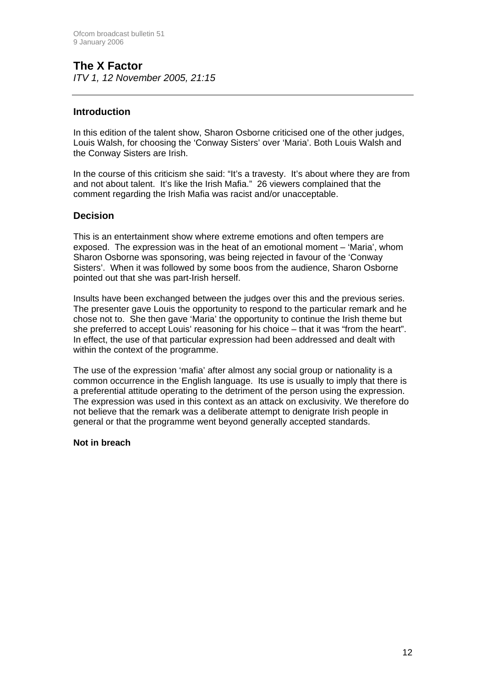# **The X Factor**

*ITV 1, 12 November 2005, 21:15*

#### **Introduction**

In this edition of the talent show, Sharon Osborne criticised one of the other judges, Louis Walsh, for choosing the 'Conway Sisters' over 'Maria'. Both Louis Walsh and the Conway Sisters are Irish.

In the course of this criticism she said: "It's a travesty. It's about where they are from and not about talent. It's like the Irish Mafia." 26 viewers complained that the comment regarding the Irish Mafia was racist and/or unacceptable.

#### **Decision**

This is an entertainment show where extreme emotions and often tempers are exposed. The expression was in the heat of an emotional moment – 'Maria', whom Sharon Osborne was sponsoring, was being rejected in favour of the 'Conway Sisters'. When it was followed by some boos from the audience, Sharon Osborne pointed out that she was part-Irish herself.

Insults have been exchanged between the judges over this and the previous series. The presenter gave Louis the opportunity to respond to the particular remark and he chose not to. She then gave 'Maria' the opportunity to continue the Irish theme but she preferred to accept Louis' reasoning for his choice – that it was "from the heart". In effect, the use of that particular expression had been addressed and dealt with within the context of the programme.

The use of the expression 'mafia' after almost any social group or nationality is a common occurrence in the English language. Its use is usually to imply that there is a preferential attitude operating to the detriment of the person using the expression. The expression was used in this context as an attack on exclusivity. We therefore do not believe that the remark was a deliberate attempt to denigrate Irish people in general or that the programme went beyond generally accepted standards.

#### **Not in breach**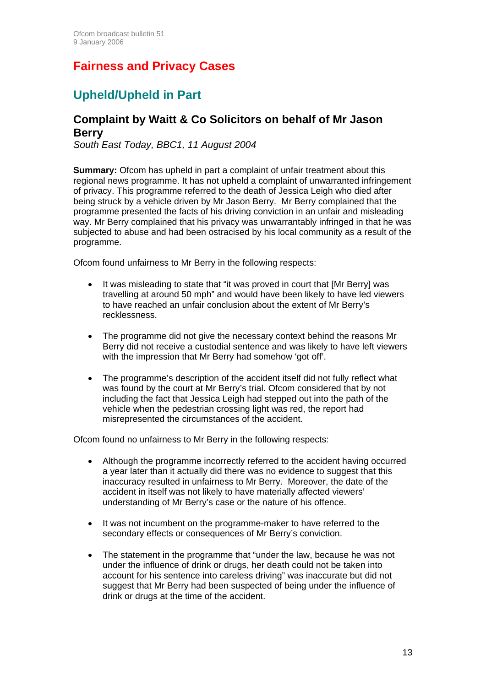# **Fairness and Privacy Cases**

# **Upheld/Upheld in Part**

### **Complaint by Waitt & Co Solicitors on behalf of Mr Jason Berry**

*South East Today, BBC1, 11 August 2004* 

**Summary:** Ofcom has upheld in part a complaint of unfair treatment about this regional news programme. It has not upheld a complaint of unwarranted infringement of privacy. This programme referred to the death of Jessica Leigh who died after being struck by a vehicle driven by Mr Jason Berry. Mr Berry complained that the programme presented the facts of his driving conviction in an unfair and misleading way. Mr Berry complained that his privacy was unwarrantably infringed in that he was subjected to abuse and had been ostracised by his local community as a result of the programme.

Ofcom found unfairness to Mr Berry in the following respects:

- It was misleading to state that "it was proved in court that [Mr Berry] was travelling at around 50 mph" and would have been likely to have led viewers to have reached an unfair conclusion about the extent of Mr Berry's recklessness.
- The programme did not give the necessary context behind the reasons Mr Berry did not receive a custodial sentence and was likely to have left viewers with the impression that Mr Berry had somehow 'got off'.
- The programme's description of the accident itself did not fully reflect what was found by the court at Mr Berry's trial. Ofcom considered that by not including the fact that Jessica Leigh had stepped out into the path of the vehicle when the pedestrian crossing light was red, the report had misrepresented the circumstances of the accident.

Ofcom found no unfairness to Mr Berry in the following respects:

- Although the programme incorrectly referred to the accident having occurred a year later than it actually did there was no evidence to suggest that this inaccuracy resulted in unfairness to Mr Berry. Moreover, the date of the accident in itself was not likely to have materially affected viewers' understanding of Mr Berry's case or the nature of his offence.
- It was not incumbent on the programme-maker to have referred to the secondary effects or consequences of Mr Berry's conviction.
- The statement in the programme that "under the law, because he was not under the influence of drink or drugs, her death could not be taken into account for his sentence into careless driving" was inaccurate but did not suggest that Mr Berry had been suspected of being under the influence of drink or drugs at the time of the accident.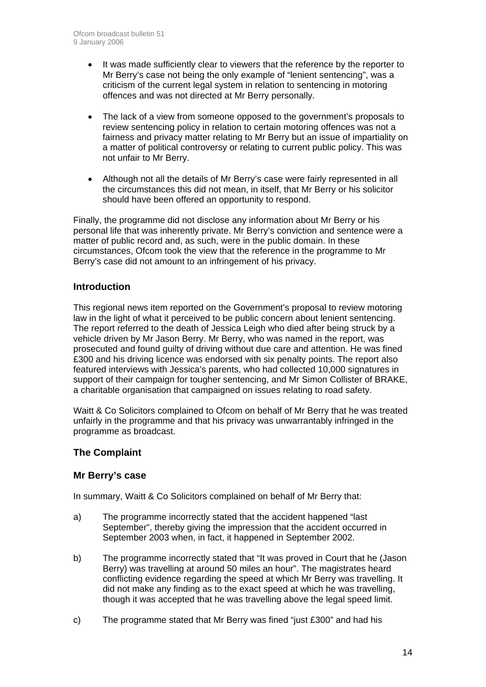- It was made sufficiently clear to viewers that the reference by the reporter to Mr Berry's case not being the only example of "lenient sentencing", was a criticism of the current legal system in relation to sentencing in motoring offences and was not directed at Mr Berry personally.
- The lack of a view from someone opposed to the government's proposals to review sentencing policy in relation to certain motoring offences was not a fairness and privacy matter relating to Mr Berry but an issue of impartiality on a matter of political controversy or relating to current public policy. This was not unfair to Mr Berry.
- Although not all the details of Mr Berry's case were fairly represented in all the circumstances this did not mean, in itself, that Mr Berry or his solicitor should have been offered an opportunity to respond.

Finally, the programme did not disclose any information about Mr Berry or his personal life that was inherently private. Mr Berry's conviction and sentence were a matter of public record and, as such, were in the public domain. In these circumstances, Ofcom took the view that the reference in the programme to Mr Berry's case did not amount to an infringement of his privacy.

#### **Introduction**

This regional news item reported on the Government's proposal to review motoring law in the light of what it perceived to be public concern about lenient sentencing. The report referred to the death of Jessica Leigh who died after being struck by a vehicle driven by Mr Jason Berry. Mr Berry, who was named in the report, was prosecuted and found guilty of driving without due care and attention. He was fined £300 and his driving licence was endorsed with six penalty points. The report also featured interviews with Jessica's parents, who had collected 10,000 signatures in support of their campaign for tougher sentencing, and Mr Simon Collister of BRAKE, a charitable organisation that campaigned on issues relating to road safety.

Waitt & Co Solicitors complained to Ofcom on behalf of Mr Berry that he was treated unfairly in the programme and that his privacy was unwarrantably infringed in the programme as broadcast.

#### **The Complaint**

#### **Mr Berry's case**

In summary, Waitt & Co Solicitors complained on behalf of Mr Berry that:

- a) The programme incorrectly stated that the accident happened "last September", thereby giving the impression that the accident occurred in September 2003 when, in fact, it happened in September 2002.
- b) The programme incorrectly stated that "It was proved in Court that he (Jason Berry) was travelling at around 50 miles an hour". The magistrates heard conflicting evidence regarding the speed at which Mr Berry was travelling. It did not make any finding as to the exact speed at which he was travelling, though it was accepted that he was travelling above the legal speed limit.
- c) The programme stated that Mr Berry was fined "just £300" and had his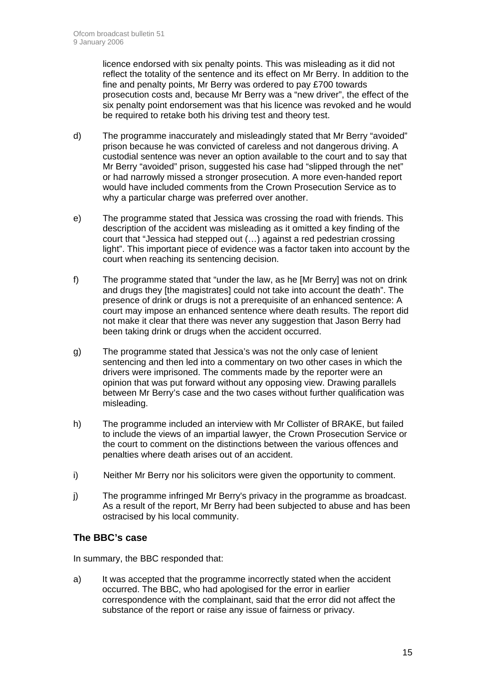licence endorsed with six penalty points. This was misleading as it did not reflect the totality of the sentence and its effect on Mr Berry. In addition to the fine and penalty points, Mr Berry was ordered to pay £700 towards prosecution costs and, because Mr Berry was a "new driver", the effect of the six penalty point endorsement was that his licence was revoked and he would be required to retake both his driving test and theory test.

- d) The programme inaccurately and misleadingly stated that Mr Berry "avoided" prison because he was convicted of careless and not dangerous driving. A custodial sentence was never an option available to the court and to say that Mr Berry "avoided" prison, suggested his case had "slipped through the net" or had narrowly missed a stronger prosecution. A more even-handed report would have included comments from the Crown Prosecution Service as to why a particular charge was preferred over another.
- e) The programme stated that Jessica was crossing the road with friends. This description of the accident was misleading as it omitted a key finding of the court that "Jessica had stepped out (…) against a red pedestrian crossing light". This important piece of evidence was a factor taken into account by the court when reaching its sentencing decision.
- f) The programme stated that "under the law, as he [Mr Berry] was not on drink and drugs they [the magistrates] could not take into account the death". The presence of drink or drugs is not a prerequisite of an enhanced sentence: A court may impose an enhanced sentence where death results. The report did not make it clear that there was never any suggestion that Jason Berry had been taking drink or drugs when the accident occurred.
- g) The programme stated that Jessica's was not the only case of lenient sentencing and then led into a commentary on two other cases in which the drivers were imprisoned. The comments made by the reporter were an opinion that was put forward without any opposing view. Drawing parallels between Mr Berry's case and the two cases without further qualification was misleading.
- h) The programme included an interview with Mr Collister of BRAKE, but failed to include the views of an impartial lawyer, the Crown Prosecution Service or the court to comment on the distinctions between the various offences and penalties where death arises out of an accident.
- i) Neither Mr Berry nor his solicitors were given the opportunity to comment.
- j) The programme infringed Mr Berry's privacy in the programme as broadcast. As a result of the report, Mr Berry had been subjected to abuse and has been ostracised by his local community.

#### **The BBC's case**

In summary, the BBC responded that:

a) It was accepted that the programme incorrectly stated when the accident occurred. The BBC, who had apologised for the error in earlier correspondence with the complainant, said that the error did not affect the substance of the report or raise any issue of fairness or privacy.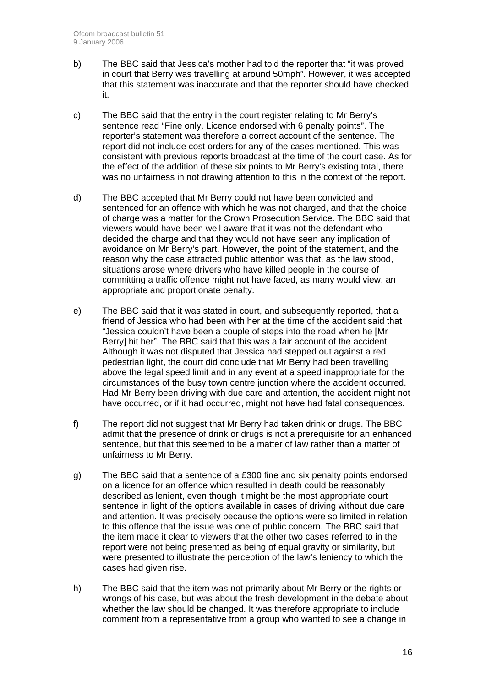- b) The BBC said that Jessica's mother had told the reporter that "it was proved in court that Berry was travelling at around 50mph". However, it was accepted that this statement was inaccurate and that the reporter should have checked it.
- c) The BBC said that the entry in the court register relating to Mr Berry's sentence read "Fine only. Licence endorsed with 6 penalty points". The reporter's statement was therefore a correct account of the sentence. The report did not include cost orders for any of the cases mentioned. This was consistent with previous reports broadcast at the time of the court case. As for the effect of the addition of these six points to Mr Berry's existing total, there was no unfairness in not drawing attention to this in the context of the report.
- d) The BBC accepted that Mr Berry could not have been convicted and sentenced for an offence with which he was not charged, and that the choice of charge was a matter for the Crown Prosecution Service. The BBC said that viewers would have been well aware that it was not the defendant who decided the charge and that they would not have seen any implication of avoidance on Mr Berry's part. However, the point of the statement, and the reason why the case attracted public attention was that, as the law stood, situations arose where drivers who have killed people in the course of committing a traffic offence might not have faced, as many would view, an appropriate and proportionate penalty.
- e) The BBC said that it was stated in court, and subsequently reported, that a friend of Jessica who had been with her at the time of the accident said that "Jessica couldn't have been a couple of steps into the road when he [Mr Berry] hit her". The BBC said that this was a fair account of the accident. Although it was not disputed that Jessica had stepped out against a red pedestrian light, the court did conclude that Mr Berry had been travelling above the legal speed limit and in any event at a speed inappropriate for the circumstances of the busy town centre junction where the accident occurred. Had Mr Berry been driving with due care and attention, the accident might not have occurred, or if it had occurred, might not have had fatal consequences.
- f) The report did not suggest that Mr Berry had taken drink or drugs. The BBC admit that the presence of drink or drugs is not a prerequisite for an enhanced sentence, but that this seemed to be a matter of law rather than a matter of unfairness to Mr Berry.
- g) The BBC said that a sentence of a £300 fine and six penalty points endorsed on a licence for an offence which resulted in death could be reasonably described as lenient, even though it might be the most appropriate court sentence in light of the options available in cases of driving without due care and attention. It was precisely because the options were so limited in relation to this offence that the issue was one of public concern. The BBC said that the item made it clear to viewers that the other two cases referred to in the report were not being presented as being of equal gravity or similarity, but were presented to illustrate the perception of the law's leniency to which the cases had given rise.
- h) The BBC said that the item was not primarily about Mr Berry or the rights or wrongs of his case, but was about the fresh development in the debate about whether the law should be changed. It was therefore appropriate to include comment from a representative from a group who wanted to see a change in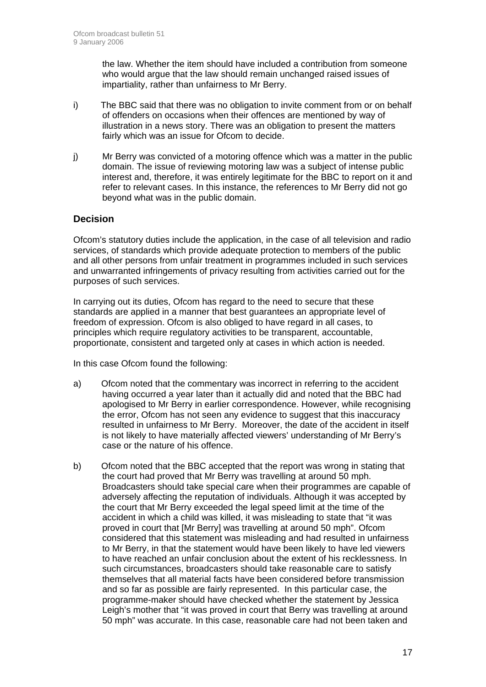the law. Whether the item should have included a contribution from someone who would argue that the law should remain unchanged raised issues of impartiality, rather than unfairness to Mr Berry.

- i) The BBC said that there was no obligation to invite comment from or on behalf of offenders on occasions when their offences are mentioned by way of illustration in a news story. There was an obligation to present the matters fairly which was an issue for Ofcom to decide.
- j) Mr Berry was convicted of a motoring offence which was a matter in the public domain. The issue of reviewing motoring law was a subject of intense public interest and, therefore, it was entirely legitimate for the BBC to report on it and refer to relevant cases. In this instance, the references to Mr Berry did not go beyond what was in the public domain.

#### **Decision**

Ofcom's statutory duties include the application, in the case of all television and radio services, of standards which provide adequate protection to members of the public and all other persons from unfair treatment in programmes included in such services and unwarranted infringements of privacy resulting from activities carried out for the purposes of such services.

In carrying out its duties, Ofcom has regard to the need to secure that these standards are applied in a manner that best guarantees an appropriate level of freedom of expression. Ofcom is also obliged to have regard in all cases, to principles which require regulatory activities to be transparent, accountable, proportionate, consistent and targeted only at cases in which action is needed.

In this case Ofcom found the following:

- a) Ofcom noted that the commentary was incorrect in referring to the accident having occurred a year later than it actually did and noted that the BBC had apologised to Mr Berry in earlier correspondence. However, while recognising the error, Ofcom has not seen any evidence to suggest that this inaccuracy resulted in unfairness to Mr Berry. Moreover, the date of the accident in itself is not likely to have materially affected viewers' understanding of Mr Berry's case or the nature of his offence.
- b) Ofcom noted that the BBC accepted that the report was wrong in stating that the court had proved that Mr Berry was travelling at around 50 mph. Broadcasters should take special care when their programmes are capable of adversely affecting the reputation of individuals. Although it was accepted by the court that Mr Berry exceeded the legal speed limit at the time of the accident in which a child was killed, it was misleading to state that "it was proved in court that [Mr Berry] was travelling at around 50 mph". Ofcom considered that this statement was misleading and had resulted in unfairness to Mr Berry, in that the statement would have been likely to have led viewers to have reached an unfair conclusion about the extent of his recklessness. In such circumstances, broadcasters should take reasonable care to satisfy themselves that all material facts have been considered before transmission and so far as possible are fairly represented. In this particular case, the programme-maker should have checked whether the statement by Jessica Leigh's mother that "it was proved in court that Berry was travelling at around 50 mph" was accurate. In this case, reasonable care had not been taken and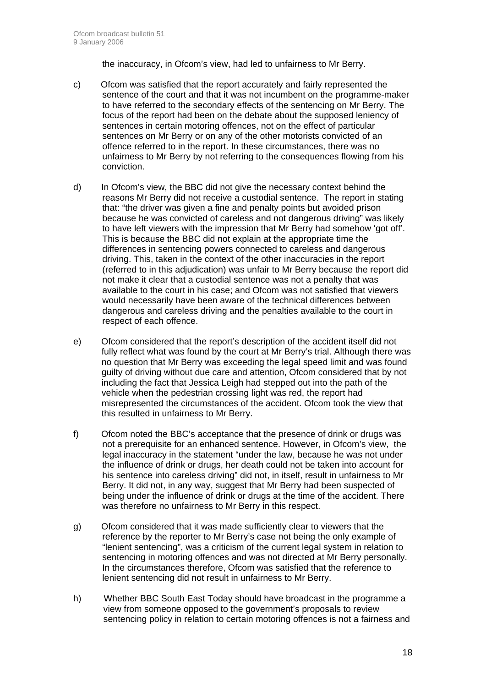the inaccuracy, in Ofcom's view, had led to unfairness to Mr Berry.

- c) Ofcom was satisfied that the report accurately and fairly represented the sentence of the court and that it was not incumbent on the programme-maker to have referred to the secondary effects of the sentencing on Mr Berry. The focus of the report had been on the debate about the supposed leniency of sentences in certain motoring offences, not on the effect of particular sentences on Mr Berry or on any of the other motorists convicted of an offence referred to in the report. In these circumstances, there was no unfairness to Mr Berry by not referring to the consequences flowing from his conviction.
- d) In Ofcom's view, the BBC did not give the necessary context behind the reasons Mr Berry did not receive a custodial sentence. The report in stating that: "the driver was given a fine and penalty points but avoided prison because he was convicted of careless and not dangerous driving" was likely to have left viewers with the impression that Mr Berry had somehow 'got off'. This is because the BBC did not explain at the appropriate time the differences in sentencing powers connected to careless and dangerous driving. This, taken in the context of the other inaccuracies in the report (referred to in this adjudication) was unfair to Mr Berry because the report did not make it clear that a custodial sentence was not a penalty that was available to the court in his case; and Ofcom was not satisfied that viewers would necessarily have been aware of the technical differences between dangerous and careless driving and the penalties available to the court in respect of each offence.
- e) Ofcom considered that the report's description of the accident itself did not fully reflect what was found by the court at Mr Berry's trial. Although there was no question that Mr Berry was exceeding the legal speed limit and was found guilty of driving without due care and attention, Ofcom considered that by not including the fact that Jessica Leigh had stepped out into the path of the vehicle when the pedestrian crossing light was red, the report had misrepresented the circumstances of the accident. Ofcom took the view that this resulted in unfairness to Mr Berry.
- f) Ofcom noted the BBC's acceptance that the presence of drink or drugs was not a prerequisite for an enhanced sentence. However, in Ofcom's view, the legal inaccuracy in the statement "under the law, because he was not under the influence of drink or drugs, her death could not be taken into account for his sentence into careless driving" did not, in itself, result in unfairness to Mr Berry. It did not, in any way, suggest that Mr Berry had been suspected of being under the influence of drink or drugs at the time of the accident. There was therefore no unfairness to Mr Berry in this respect.
- g) Ofcom considered that it was made sufficiently clear to viewers that the reference by the reporter to Mr Berry's case not being the only example of "lenient sentencing", was a criticism of the current legal system in relation to sentencing in motoring offences and was not directed at Mr Berry personally. In the circumstances therefore, Ofcom was satisfied that the reference to lenient sentencing did not result in unfairness to Mr Berry.
- h) Whether BBC South East Today should have broadcast in the programme a view from someone opposed to the government's proposals to review sentencing policy in relation to certain motoring offences is not a fairness and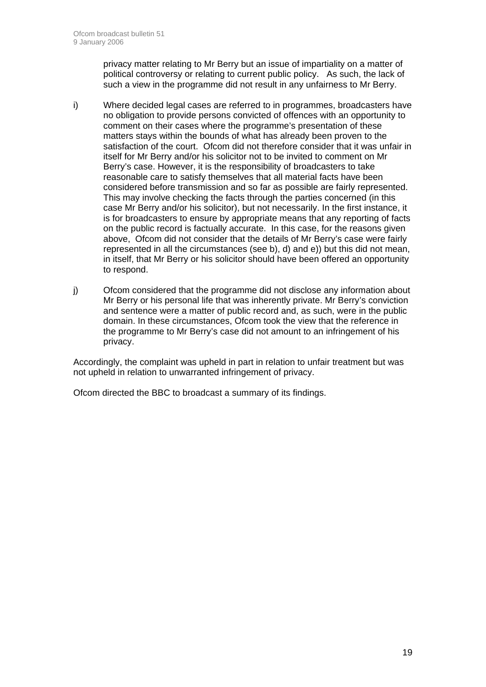privacy matter relating to Mr Berry but an issue of impartiality on a matter of political controversy or relating to current public policy. As such, the lack of such a view in the programme did not result in any unfairness to Mr Berry.

- i) Where decided legal cases are referred to in programmes, broadcasters have no obligation to provide persons convicted of offences with an opportunity to comment on their cases where the programme's presentation of these matters stays within the bounds of what has already been proven to the satisfaction of the court. Ofcom did not therefore consider that it was unfair in itself for Mr Berry and/or his solicitor not to be invited to comment on Mr Berry's case. However, it is the responsibility of broadcasters to take reasonable care to satisfy themselves that all material facts have been considered before transmission and so far as possible are fairly represented. This may involve checking the facts through the parties concerned (in this case Mr Berry and/or his solicitor), but not necessarily. In the first instance, it is for broadcasters to ensure by appropriate means that any reporting of facts on the public record is factually accurate. In this case, for the reasons given above, Ofcom did not consider that the details of Mr Berry's case were fairly represented in all the circumstances (see b), d) and e)) but this did not mean, in itself, that Mr Berry or his solicitor should have been offered an opportunity to respond.
- j) Ofcom considered that the programme did not disclose any information about Mr Berry or his personal life that was inherently private. Mr Berry's conviction and sentence were a matter of public record and, as such, were in the public domain. In these circumstances, Ofcom took the view that the reference in the programme to Mr Berry's case did not amount to an infringement of his privacy.

Accordingly, the complaint was upheld in part in relation to unfair treatment but was not upheld in relation to unwarranted infringement of privacy.

Ofcom directed the BBC to broadcast a summary of its findings.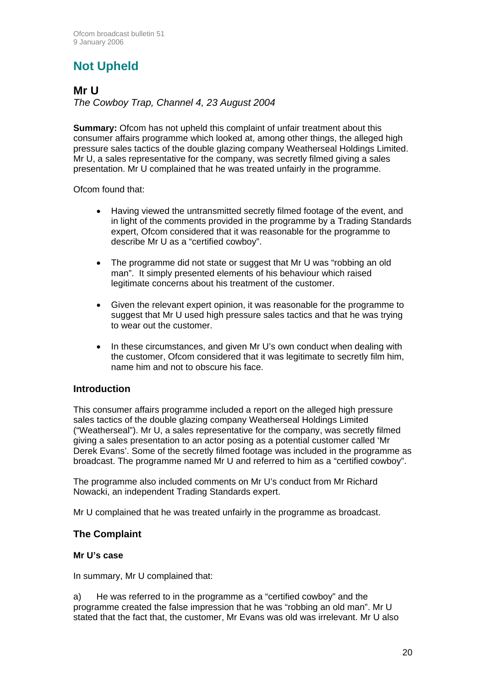# **Not Upheld**

### **Mr U**

*The Cowboy Trap, Channel 4, 23 August 2004* 

**Summary:** Ofcom has not upheld this complaint of unfair treatment about this consumer affairs programme which looked at, among other things, the alleged high pressure sales tactics of the double glazing company Weatherseal Holdings Limited. Mr U, a sales representative for the company, was secretly filmed giving a sales presentation. Mr U complained that he was treated unfairly in the programme.

Ofcom found that:

- Having viewed the untransmitted secretly filmed footage of the event, and in light of the comments provided in the programme by a Trading Standards expert, Ofcom considered that it was reasonable for the programme to describe Mr U as a "certified cowboy".
- The programme did not state or suggest that Mr U was "robbing an old man". It simply presented elements of his behaviour which raised legitimate concerns about his treatment of the customer.
- Given the relevant expert opinion, it was reasonable for the programme to suggest that Mr U used high pressure sales tactics and that he was trying to wear out the customer.
- In these circumstances, and given Mr U's own conduct when dealing with the customer, Ofcom considered that it was legitimate to secretly film him, name him and not to obscure his face.

### **Introduction**

This consumer affairs programme included a report on the alleged high pressure sales tactics of the double glazing company Weatherseal Holdings Limited ("Weatherseal"). Mr U, a sales representative for the company, was secretly filmed giving a sales presentation to an actor posing as a potential customer called 'Mr Derek Evans'. Some of the secretly filmed footage was included in the programme as broadcast. The programme named Mr U and referred to him as a "certified cowboy".

The programme also included comments on Mr U's conduct from Mr Richard Nowacki, an independent Trading Standards expert.

Mr U complained that he was treated unfairly in the programme as broadcast.

### **The Complaint**

#### **Mr U's case**

In summary, Mr U complained that:

a) He was referred to in the programme as a "certified cowboy" and the programme created the false impression that he was "robbing an old man". Mr U stated that the fact that, the customer, Mr Evans was old was irrelevant. Mr U also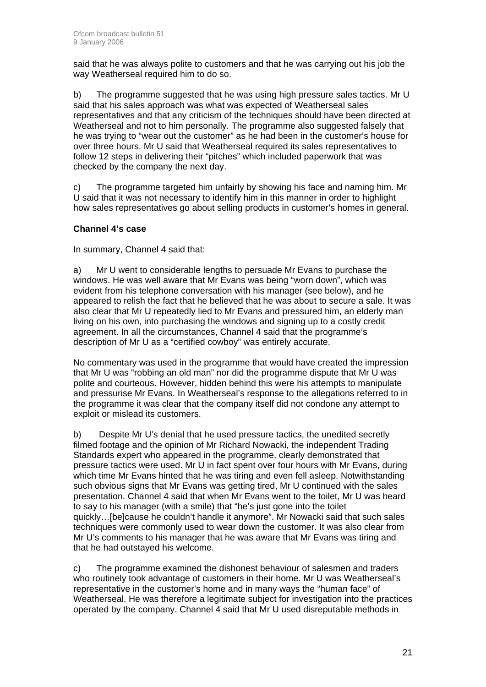said that he was always polite to customers and that he was carrying out his job the way Weatherseal required him to do so.

b) The programme suggested that he was using high pressure sales tactics. Mr U said that his sales approach was what was expected of Weatherseal sales representatives and that any criticism of the techniques should have been directed at Weatherseal and not to him personally. The programme also suggested falsely that he was trying to "wear out the customer" as he had been in the customer's house for over three hours. Mr U said that Weatherseal required its sales representatives to follow 12 steps in delivering their "pitches" which included paperwork that was checked by the company the next day.

c) The programme targeted him unfairly by showing his face and naming him. Mr U said that it was not necessary to identify him in this manner in order to highlight how sales representatives go about selling products in customer's homes in general.

#### **Channel 4's case**

In summary, Channel 4 said that:

a) Mr U went to considerable lengths to persuade Mr Evans to purchase the windows. He was well aware that Mr Evans was being "worn down", which was evident from his telephone conversation with his manager (see below), and he appeared to relish the fact that he believed that he was about to secure a sale. It was also clear that Mr U repeatedly lied to Mr Evans and pressured him, an elderly man living on his own, into purchasing the windows and signing up to a costly credit agreement. In all the circumstances, Channel 4 said that the programme's description of Mr U as a "certified cowboy" was entirely accurate.

No commentary was used in the programme that would have created the impression that Mr U was "robbing an old man" nor did the programme dispute that Mr U was polite and courteous. However, hidden behind this were his attempts to manipulate and pressurise Mr Evans. In Weatherseal's response to the allegations referred to in the programme it was clear that the company itself did not condone any attempt to exploit or mislead its customers.

b) Despite Mr U's denial that he used pressure tactics, the unedited secretly filmed footage and the opinion of Mr Richard Nowacki, the independent Trading Standards expert who appeared in the programme, clearly demonstrated that pressure tactics were used. Mr U in fact spent over four hours with Mr Evans, during which time Mr Evans hinted that he was tiring and even fell asleep. Notwithstanding such obvious signs that Mr Evans was getting tired, Mr U continued with the sales presentation. Channel 4 said that when Mr Evans went to the toilet, Mr U was heard to say to his manager (with a smile) that "he's just gone into the toilet quickly…[be]cause he couldn't handle it anymore". Mr Nowacki said that such sales techniques were commonly used to wear down the customer. It was also clear from Mr U's comments to his manager that he was aware that Mr Evans was tiring and that he had outstayed his welcome.

c) The programme examined the dishonest behaviour of salesmen and traders who routinely took advantage of customers in their home. Mr U was Weatherseal's representative in the customer's home and in many ways the "human face" of Weatherseal. He was therefore a legitimate subject for investigation into the practices operated by the company. Channel 4 said that Mr U used disreputable methods in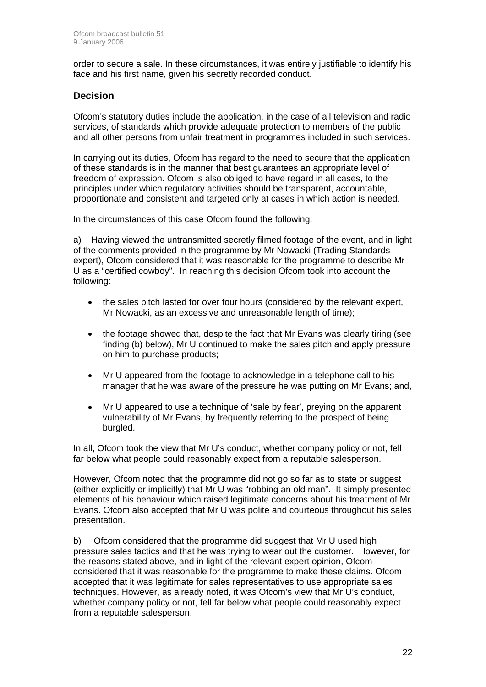order to secure a sale. In these circumstances, it was entirely justifiable to identify his face and his first name, given his secretly recorded conduct.

#### **Decision**

Ofcom's statutory duties include the application, in the case of all television and radio services, of standards which provide adequate protection to members of the public and all other persons from unfair treatment in programmes included in such services.

In carrying out its duties, Ofcom has regard to the need to secure that the application of these standards is in the manner that best guarantees an appropriate level of freedom of expression. Ofcom is also obliged to have regard in all cases, to the principles under which regulatory activities should be transparent, accountable, proportionate and consistent and targeted only at cases in which action is needed.

In the circumstances of this case Ofcom found the following:

a) Having viewed the untransmitted secretly filmed footage of the event, and in light of the comments provided in the programme by Mr Nowacki (Trading Standards expert), Ofcom considered that it was reasonable for the programme to describe Mr U as a "certified cowboy". In reaching this decision Ofcom took into account the following:

- the sales pitch lasted for over four hours (considered by the relevant expert, Mr Nowacki, as an excessive and unreasonable length of time);
- the footage showed that, despite the fact that Mr Evans was clearly tiring (see finding (b) below), Mr U continued to make the sales pitch and apply pressure on him to purchase products;
- Mr U appeared from the footage to acknowledge in a telephone call to his manager that he was aware of the pressure he was putting on Mr Evans; and,
- Mr U appeared to use a technique of 'sale by fear', preving on the apparent vulnerability of Mr Evans, by frequently referring to the prospect of being burgled.

In all, Ofcom took the view that Mr U's conduct, whether company policy or not, fell far below what people could reasonably expect from a reputable salesperson.

However, Ofcom noted that the programme did not go so far as to state or suggest (either explicitly or implicitly) that Mr U was "robbing an old man". It simply presented elements of his behaviour which raised legitimate concerns about his treatment of Mr Evans. Ofcom also accepted that Mr U was polite and courteous throughout his sales presentation.

b) Ofcom considered that the programme did suggest that Mr U used high pressure sales tactics and that he was trying to wear out the customer. However, for the reasons stated above, and in light of the relevant expert opinion, Ofcom considered that it was reasonable for the programme to make these claims. Ofcom accepted that it was legitimate for sales representatives to use appropriate sales techniques. However, as already noted, it was Ofcom's view that Mr U's conduct, whether company policy or not, fell far below what people could reasonably expect from a reputable salesperson.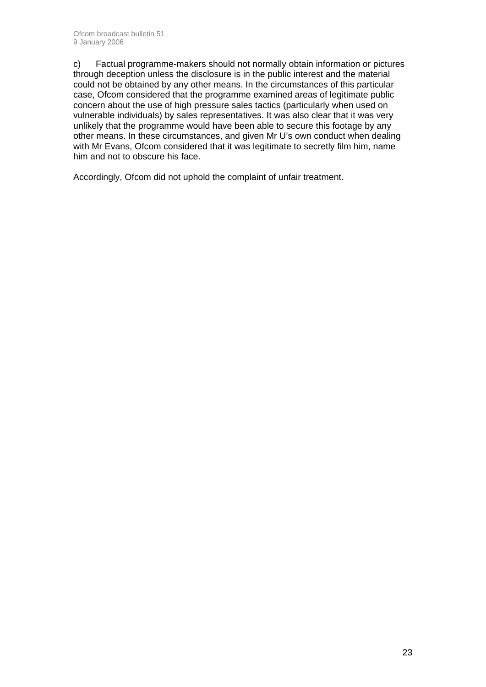c) Factual programme-makers should not normally obtain information or pictures through deception unless the disclosure is in the public interest and the material could not be obtained by any other means. In the circumstances of this particular case, Ofcom considered that the programme examined areas of legitimate public concern about the use of high pressure sales tactics (particularly when used on vulnerable individuals) by sales representatives. It was also clear that it was very unlikely that the programme would have been able to secure this footage by any other means. In these circumstances, and given Mr U's own conduct when dealing with Mr Evans, Ofcom considered that it was legitimate to secretly film him, name him and not to obscure his face.

Accordingly, Ofcom did not uphold the complaint of unfair treatment.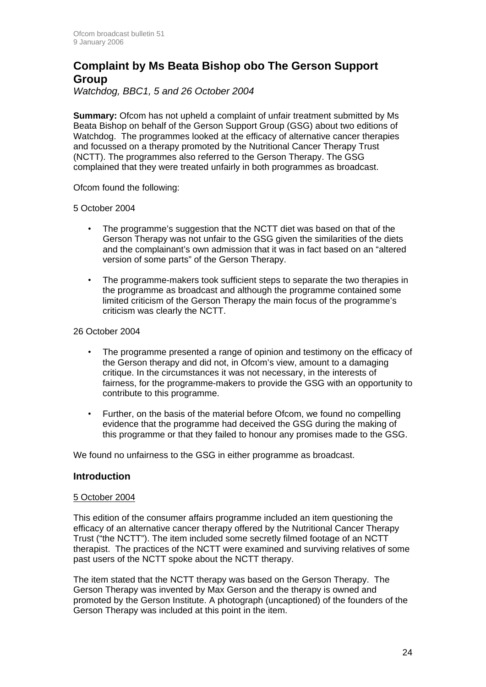### **Complaint by Ms Beata Bishop obo The Gerson Support Group**

*Watchdog, BBC1, 5 and 26 October 2004* 

**Summary:** Ofcom has not upheld a complaint of unfair treatment submitted by Ms Beata Bishop on behalf of the Gerson Support Group (GSG) about two editions of Watchdog. The programmes looked at the efficacy of alternative cancer therapies and focussed on a therapy promoted by the Nutritional Cancer Therapy Trust (NCTT). The programmes also referred to the Gerson Therapy. The GSG complained that they were treated unfairly in both programmes as broadcast.

Ofcom found the following:

#### 5 October 2004

- The programme's suggestion that the NCTT diet was based on that of the Gerson Therapy was not unfair to the GSG given the similarities of the diets and the complainant's own admission that it was in fact based on an "altered version of some parts" of the Gerson Therapy.
- The programme-makers took sufficient steps to separate the two therapies in the programme as broadcast and although the programme contained some limited criticism of the Gerson Therapy the main focus of the programme's criticism was clearly the NCTT.

#### 26 October 2004

- The programme presented a range of opinion and testimony on the efficacy of the Gerson therapy and did not, in Ofcom's view, amount to a damaging critique. In the circumstances it was not necessary, in the interests of fairness, for the programme-makers to provide the GSG with an opportunity to contribute to this programme.
- Further, on the basis of the material before Ofcom, we found no compelling evidence that the programme had deceived the GSG during the making of this programme or that they failed to honour any promises made to the GSG.

We found no unfairness to the GSG in either programme as broadcast.

#### **Introduction**

#### 5 October 2004

This edition of the consumer affairs programme included an item questioning the efficacy of an alternative cancer therapy offered by the Nutritional Cancer Therapy Trust ("the NCTT"). The item included some secretly filmed footage of an NCTT therapist. The practices of the NCTT were examined and surviving relatives of some past users of the NCTT spoke about the NCTT therapy.

The item stated that the NCTT therapy was based on the Gerson Therapy. The Gerson Therapy was invented by Max Gerson and the therapy is owned and promoted by the Gerson Institute. A photograph (uncaptioned) of the founders of the Gerson Therapy was included at this point in the item.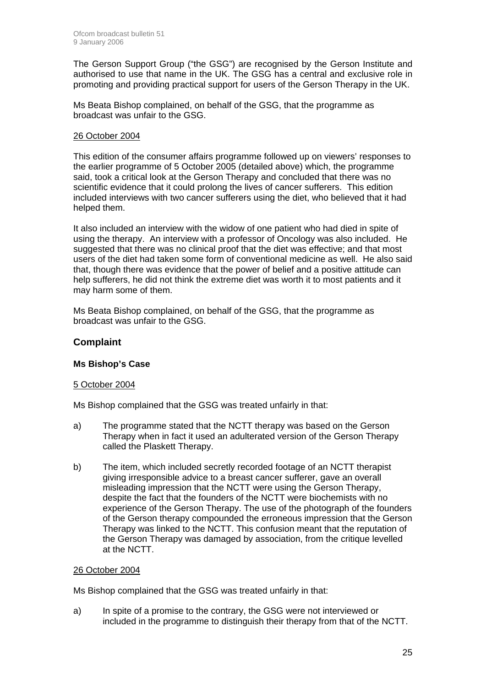The Gerson Support Group ("the GSG") are recognised by the Gerson Institute and authorised to use that name in the UK. The GSG has a central and exclusive role in promoting and providing practical support for users of the Gerson Therapy in the UK.

Ms Beata Bishop complained, on behalf of the GSG, that the programme as broadcast was unfair to the GSG.

#### 26 October 2004

This edition of the consumer affairs programme followed up on viewers' responses to the earlier programme of 5 October 2005 (detailed above) which, the programme said, took a critical look at the Gerson Therapy and concluded that there was no scientific evidence that it could prolong the lives of cancer sufferers. This edition included interviews with two cancer sufferers using the diet, who believed that it had helped them.

It also included an interview with the widow of one patient who had died in spite of using the therapy. An interview with a professor of Oncology was also included. He suggested that there was no clinical proof that the diet was effective; and that most users of the diet had taken some form of conventional medicine as well. He also said that, though there was evidence that the power of belief and a positive attitude can help sufferers, he did not think the extreme diet was worth it to most patients and it may harm some of them.

Ms Beata Bishop complained, on behalf of the GSG, that the programme as broadcast was unfair to the GSG.

#### **Complaint**

#### **Ms Bishop's Case**

#### 5 October 2004

Ms Bishop complained that the GSG was treated unfairly in that:

- a) The programme stated that the NCTT therapy was based on the Gerson Therapy when in fact it used an adulterated version of the Gerson Therapy called the Plaskett Therapy.
- b) The item, which included secretly recorded footage of an NCTT therapist giving irresponsible advice to a breast cancer sufferer, gave an overall misleading impression that the NCTT were using the Gerson Therapy, despite the fact that the founders of the NCTT were biochemists with no experience of the Gerson Therapy. The use of the photograph of the founders of the Gerson therapy compounded the erroneous impression that the Gerson Therapy was linked to the NCTT. This confusion meant that the reputation of the Gerson Therapy was damaged by association, from the critique levelled at the NCTT.

#### 26 October 2004

Ms Bishop complained that the GSG was treated unfairly in that:

a) In spite of a promise to the contrary, the GSG were not interviewed or included in the programme to distinguish their therapy from that of the NCTT.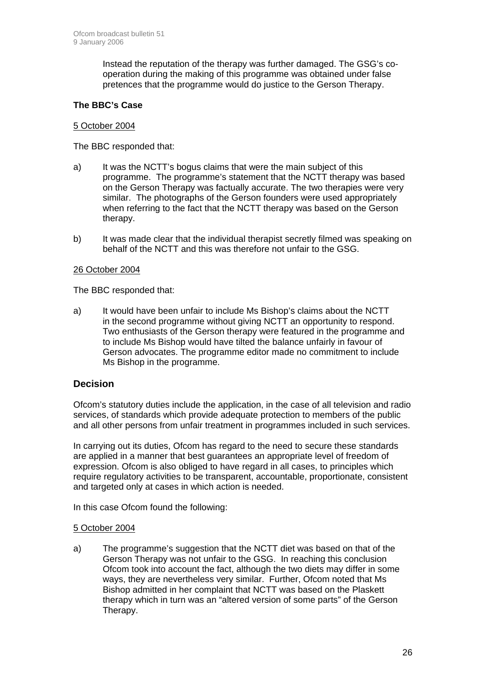Instead the reputation of the therapy was further damaged. The GSG's cooperation during the making of this programme was obtained under false pretences that the programme would do justice to the Gerson Therapy.

#### **The BBC's Case**

#### 5 October 2004

The BBC responded that:

- a) It was the NCTT's bogus claims that were the main subject of this programme. The programme's statement that the NCTT therapy was based on the Gerson Therapy was factually accurate. The two therapies were very similar. The photographs of the Gerson founders were used appropriately when referring to the fact that the NCTT therapy was based on the Gerson therapy.
- b) It was made clear that the individual therapist secretly filmed was speaking on behalf of the NCTT and this was therefore not unfair to the GSG.

#### 26 October 2004

The BBC responded that:

a) It would have been unfair to include Ms Bishop's claims about the NCTT in the second programme without giving NCTT an opportunity to respond. Two enthusiasts of the Gerson therapy were featured in the programme and to include Ms Bishop would have tilted the balance unfairly in favour of Gerson advocates. The programme editor made no commitment to include Ms Bishop in the programme.

#### **Decision**

Ofcom's statutory duties include the application, in the case of all television and radio services, of standards which provide adequate protection to members of the public and all other persons from unfair treatment in programmes included in such services.

In carrying out its duties, Ofcom has regard to the need to secure these standards are applied in a manner that best guarantees an appropriate level of freedom of expression. Ofcom is also obliged to have regard in all cases, to principles which require regulatory activities to be transparent, accountable, proportionate, consistent and targeted only at cases in which action is needed.

In this case Ofcom found the following:

#### 5 October 2004

a) The programme's suggestion that the NCTT diet was based on that of the Gerson Therapy was not unfair to the GSG. In reaching this conclusion Ofcom took into account the fact, although the two diets may differ in some ways, they are nevertheless very similar. Further, Ofcom noted that Ms Bishop admitted in her complaint that NCTT was based on the Plaskett therapy which in turn was an "altered version of some parts" of the Gerson Therapy.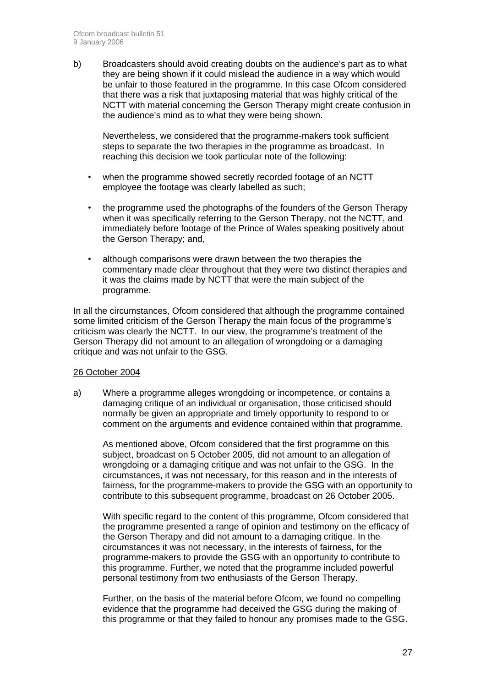b) Broadcasters should avoid creating doubts on the audience's part as to what they are being shown if it could mislead the audience in a way which would be unfair to those featured in the programme. In this case Ofcom considered that there was a risk that juxtaposing material that was highly critical of the NCTT with material concerning the Gerson Therapy might create confusion in the audience's mind as to what they were being shown.

Nevertheless, we considered that the programme-makers took sufficient steps to separate the two therapies in the programme as broadcast. In reaching this decision we took particular note of the following:

- when the programme showed secretly recorded footage of an NCTT employee the footage was clearly labelled as such;
- the programme used the photographs of the founders of the Gerson Therapy when it was specifically referring to the Gerson Therapy, not the NCTT, and immediately before footage of the Prince of Wales speaking positively about the Gerson Therapy; and,
- although comparisons were drawn between the two therapies the commentary made clear throughout that they were two distinct therapies and it was the claims made by NCTT that were the main subject of the programme.

In all the circumstances, Ofcom considered that although the programme contained some limited criticism of the Gerson Therapy the main focus of the programme's criticism was clearly the NCTT. In our view, the programme's treatment of the Gerson Therapy did not amount to an allegation of wrongdoing or a damaging critique and was not unfair to the GSG.

#### 26 October 2004

a) Where a programme alleges wrongdoing or incompetence, or contains a damaging critique of an individual or organisation, those criticised should normally be given an appropriate and timely opportunity to respond to or comment on the arguments and evidence contained within that programme.

As mentioned above, Ofcom considered that the first programme on this subject, broadcast on 5 October 2005, did not amount to an allegation of wrongdoing or a damaging critique and was not unfair to the GSG. In the circumstances, it was not necessary, for this reason and in the interests of fairness, for the programme-makers to provide the GSG with an opportunity to contribute to this subsequent programme, broadcast on 26 October 2005.

With specific regard to the content of this programme, Ofcom considered that the programme presented a range of opinion and testimony on the efficacy of the Gerson Therapy and did not amount to a damaging critique. In the circumstances it was not necessary, in the interests of fairness, for the programme-makers to provide the GSG with an opportunity to contribute to this programme. Further, we noted that the programme included powerful personal testimony from two enthusiasts of the Gerson Therapy.

Further, on the basis of the material before Ofcom, we found no compelling evidence that the programme had deceived the GSG during the making of this programme or that they failed to honour any promises made to the GSG.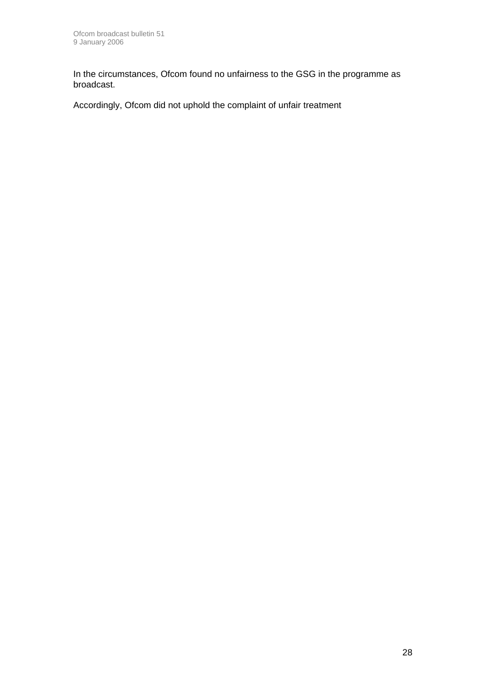In the circumstances, Ofcom found no unfairness to the GSG in the programme as broadcast.

Accordingly, Ofcom did not uphold the complaint of unfair treatment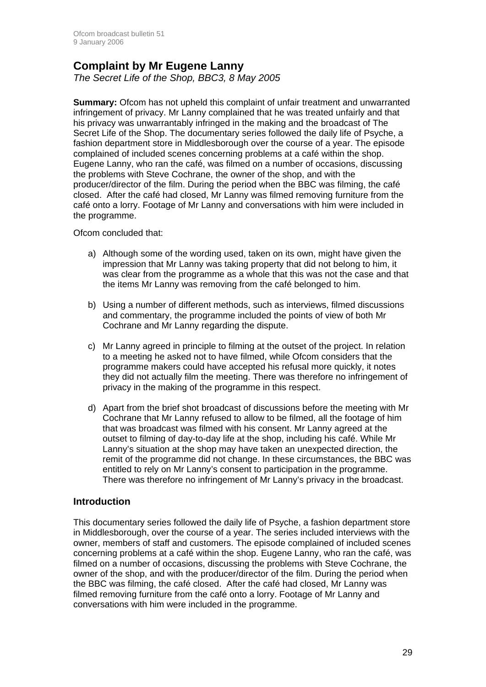### **Complaint by Mr Eugene Lanny**

*The Secret Life of the Shop, BBC3, 8 May 2005* 

**Summary:** Ofcom has not upheld this complaint of unfair treatment and unwarranted infringement of privacy. Mr Lanny complained that he was treated unfairly and that his privacy was unwarrantably infringed in the making and the broadcast of The Secret Life of the Shop. The documentary series followed the daily life of Psyche, a fashion department store in Middlesborough over the course of a year. The episode complained of included scenes concerning problems at a café within the shop. Eugene Lanny, who ran the café, was filmed on a number of occasions, discussing the problems with Steve Cochrane, the owner of the shop, and with the producer/director of the film. During the period when the BBC was filming, the café closed. After the café had closed, Mr Lanny was filmed removing furniture from the café onto a lorry. Footage of Mr Lanny and conversations with him were included in the programme.

Ofcom concluded that:

- a) Although some of the wording used, taken on its own, might have given the impression that Mr Lanny was taking property that did not belong to him, it was clear from the programme as a whole that this was not the case and that the items Mr Lanny was removing from the café belonged to him.
- b) Using a number of different methods, such as interviews, filmed discussions and commentary, the programme included the points of view of both Mr Cochrane and Mr Lanny regarding the dispute.
- c) Mr Lanny agreed in principle to filming at the outset of the project. In relation to a meeting he asked not to have filmed, while Ofcom considers that the programme makers could have accepted his refusal more quickly, it notes they did not actually film the meeting. There was therefore no infringement of privacy in the making of the programme in this respect.
- d) Apart from the brief shot broadcast of discussions before the meeting with Mr Cochrane that Mr Lanny refused to allow to be filmed, all the footage of him that was broadcast was filmed with his consent. Mr Lanny agreed at the outset to filming of day-to-day life at the shop, including his café. While Mr Lanny's situation at the shop may have taken an unexpected direction, the remit of the programme did not change. In these circumstances, the BBC was entitled to rely on Mr Lanny's consent to participation in the programme. There was therefore no infringement of Mr Lanny's privacy in the broadcast.

#### **Introduction**

This documentary series followed the daily life of Psyche, a fashion department store in Middlesborough, over the course of a year. The series included interviews with the owner, members of staff and customers. The episode complained of included scenes concerning problems at a café within the shop. Eugene Lanny, who ran the café, was filmed on a number of occasions, discussing the problems with Steve Cochrane, the owner of the shop, and with the producer/director of the film. During the period when the BBC was filming, the café closed. After the café had closed, Mr Lanny was filmed removing furniture from the café onto a lorry. Footage of Mr Lanny and conversations with him were included in the programme.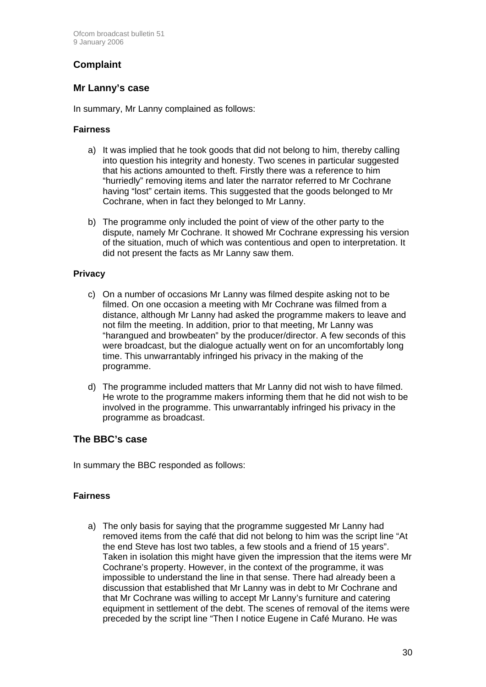### **Complaint**

#### **Mr Lanny's case**

In summary, Mr Lanny complained as follows:

#### **Fairness**

- a) It was implied that he took goods that did not belong to him, thereby calling into question his integrity and honesty. Two scenes in particular suggested that his actions amounted to theft. Firstly there was a reference to him "hurriedly" removing items and later the narrator referred to Mr Cochrane having "lost" certain items. This suggested that the goods belonged to Mr Cochrane, when in fact they belonged to Mr Lanny.
- b) The programme only included the point of view of the other party to the dispute, namely Mr Cochrane. It showed Mr Cochrane expressing his version of the situation, much of which was contentious and open to interpretation. It did not present the facts as Mr Lanny saw them.

#### **Privacy**

- c) On a number of occasions Mr Lanny was filmed despite asking not to be filmed. On one occasion a meeting with Mr Cochrane was filmed from a distance, although Mr Lanny had asked the programme makers to leave and not film the meeting. In addition, prior to that meeting, Mr Lanny was "harangued and browbeaten" by the producer/director. A few seconds of this were broadcast, but the dialogue actually went on for an uncomfortably long time. This unwarrantably infringed his privacy in the making of the programme.
- d) The programme included matters that Mr Lanny did not wish to have filmed. He wrote to the programme makers informing them that he did not wish to be involved in the programme. This unwarrantably infringed his privacy in the programme as broadcast.

#### **The BBC's case**

In summary the BBC responded as follows:

#### **Fairness**

a) The only basis for saying that the programme suggested Mr Lanny had removed items from the café that did not belong to him was the script line "At the end Steve has lost two tables, a few stools and a friend of 15 years". Taken in isolation this might have given the impression that the items were Mr Cochrane's property. However, in the context of the programme, it was impossible to understand the line in that sense. There had already been a discussion that established that Mr Lanny was in debt to Mr Cochrane and that Mr Cochrane was willing to accept Mr Lanny's furniture and catering equipment in settlement of the debt. The scenes of removal of the items were preceded by the script line "Then I notice Eugene in Café Murano. He was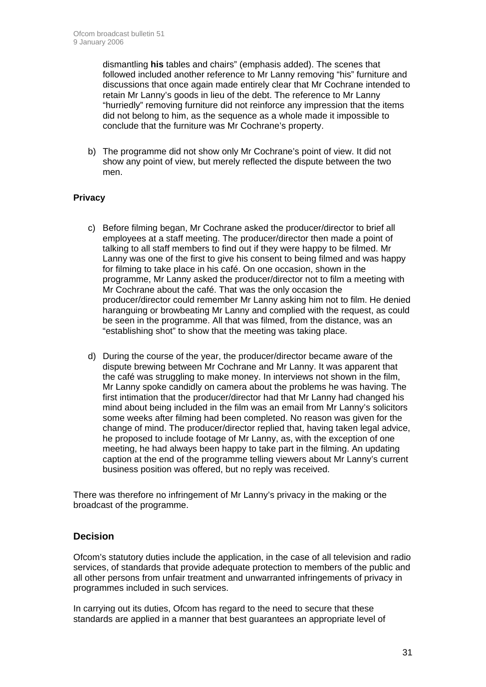dismantling **his** tables and chairs" (emphasis added). The scenes that followed included another reference to Mr Lanny removing "his" furniture and discussions that once again made entirely clear that Mr Cochrane intended to retain Mr Lanny's goods in lieu of the debt. The reference to Mr Lanny "hurriedly" removing furniture did not reinforce any impression that the items did not belong to him, as the sequence as a whole made it impossible to conclude that the furniture was Mr Cochrane's property.

b) The programme did not show only Mr Cochrane's point of view. It did not show any point of view, but merely reflected the dispute between the two men.

#### **Privacy**

- c) Before filming began, Mr Cochrane asked the producer/director to brief all employees at a staff meeting. The producer/director then made a point of talking to all staff members to find out if they were happy to be filmed. Mr Lanny was one of the first to give his consent to being filmed and was happy for filming to take place in his café. On one occasion, shown in the programme, Mr Lanny asked the producer/director not to film a meeting with Mr Cochrane about the café. That was the only occasion the producer/director could remember Mr Lanny asking him not to film. He denied haranguing or browbeating Mr Lanny and complied with the request, as could be seen in the programme. All that was filmed, from the distance, was an "establishing shot" to show that the meeting was taking place.
- d) During the course of the year, the producer/director became aware of the dispute brewing between Mr Cochrane and Mr Lanny. It was apparent that the café was struggling to make money. In interviews not shown in the film, Mr Lanny spoke candidly on camera about the problems he was having. The first intimation that the producer/director had that Mr Lanny had changed his mind about being included in the film was an email from Mr Lanny's solicitors some weeks after filming had been completed. No reason was given for the change of mind. The producer/director replied that, having taken legal advice, he proposed to include footage of Mr Lanny, as, with the exception of one meeting, he had always been happy to take part in the filming. An updating caption at the end of the programme telling viewers about Mr Lanny's current business position was offered, but no reply was received.

There was therefore no infringement of Mr Lanny's privacy in the making or the broadcast of the programme.

#### **Decision**

Ofcom's statutory duties include the application, in the case of all television and radio services, of standards that provide adequate protection to members of the public and all other persons from unfair treatment and unwarranted infringements of privacy in programmes included in such services.

In carrying out its duties, Ofcom has regard to the need to secure that these standards are applied in a manner that best guarantees an appropriate level of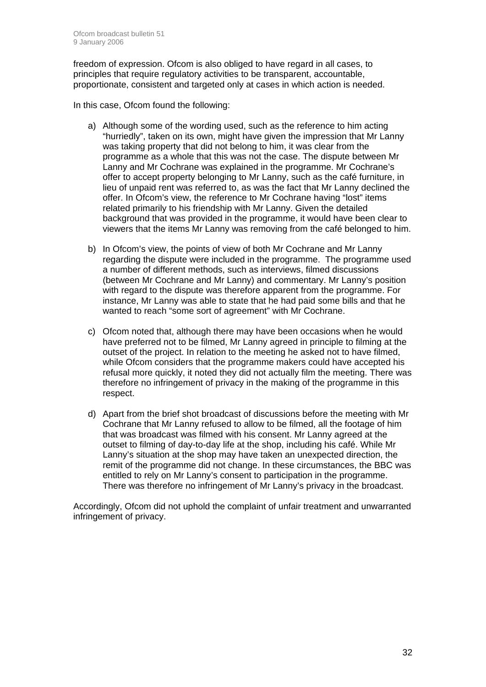freedom of expression. Ofcom is also obliged to have regard in all cases, to principles that require regulatory activities to be transparent, accountable, proportionate, consistent and targeted only at cases in which action is needed.

In this case, Ofcom found the following:

- a) Although some of the wording used, such as the reference to him acting "hurriedly", taken on its own, might have given the impression that Mr Lanny was taking property that did not belong to him, it was clear from the programme as a whole that this was not the case. The dispute between Mr Lanny and Mr Cochrane was explained in the programme. Mr Cochrane's offer to accept property belonging to Mr Lanny, such as the café furniture, in lieu of unpaid rent was referred to, as was the fact that Mr Lanny declined the offer. In Ofcom's view, the reference to Mr Cochrane having "lost" items related primarily to his friendship with Mr Lanny. Given the detailed background that was provided in the programme, it would have been clear to viewers that the items Mr Lanny was removing from the café belonged to him.
- b) In Ofcom's view, the points of view of both Mr Cochrane and Mr Lanny regarding the dispute were included in the programme. The programme used a number of different methods, such as interviews, filmed discussions (between Mr Cochrane and Mr Lanny) and commentary. Mr Lanny's position with regard to the dispute was therefore apparent from the programme. For instance, Mr Lanny was able to state that he had paid some bills and that he wanted to reach "some sort of agreement" with Mr Cochrane.
- c) Ofcom noted that, although there may have been occasions when he would have preferred not to be filmed, Mr Lanny agreed in principle to filming at the outset of the project. In relation to the meeting he asked not to have filmed, while Ofcom considers that the programme makers could have accepted his refusal more quickly, it noted they did not actually film the meeting. There was therefore no infringement of privacy in the making of the programme in this respect.
- d) Apart from the brief shot broadcast of discussions before the meeting with Mr Cochrane that Mr Lanny refused to allow to be filmed, all the footage of him that was broadcast was filmed with his consent. Mr Lanny agreed at the outset to filming of day-to-day life at the shop, including his café. While Mr Lanny's situation at the shop may have taken an unexpected direction, the remit of the programme did not change. In these circumstances, the BBC was entitled to rely on Mr Lanny's consent to participation in the programme. There was therefore no infringement of Mr Lanny's privacy in the broadcast.

Accordingly, Ofcom did not uphold the complaint of unfair treatment and unwarranted infringement of privacy.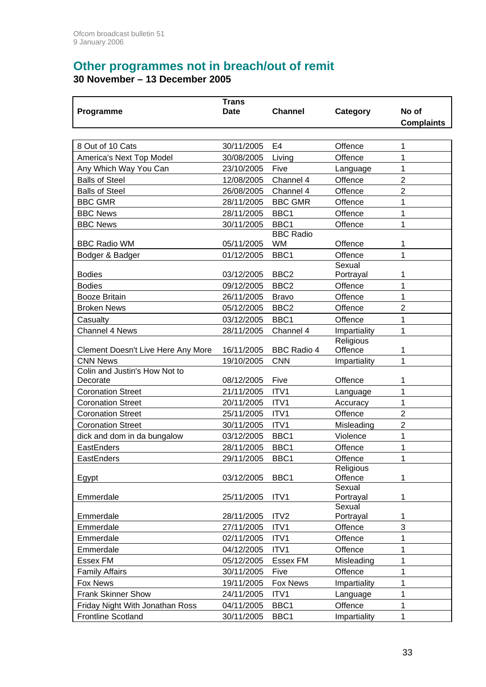# **Other programmes not in breach/out of remit**

**30 November – 13 December 2005** 

|                                    | <b>Trans</b> |                                      |                      |                   |
|------------------------------------|--------------|--------------------------------------|----------------------|-------------------|
| Programme                          | <b>Date</b>  | <b>Channel</b>                       | Category             | No of             |
|                                    |              |                                      |                      | <b>Complaints</b> |
|                                    |              |                                      |                      |                   |
| 8 Out of 10 Cats                   | 30/11/2005   | E4                                   | Offence              | 1                 |
| America's Next Top Model           | 30/08/2005   | Living                               | Offence              | 1                 |
| Any Which Way You Can              | 23/10/2005   | Five                                 | Language             | 1                 |
| <b>Balls of Steel</b>              | 12/08/2005   | Channel 4                            | Offence              | $\overline{2}$    |
| <b>Balls of Steel</b>              | 26/08/2005   | Channel 4                            | Offence              | $\overline{2}$    |
| <b>BBC GMR</b>                     | 28/11/2005   | <b>BBC GMR</b>                       | Offence              | 1                 |
| <b>BBC News</b>                    | 28/11/2005   | BBC1                                 | Offence              | 1                 |
| <b>BBC News</b>                    | 30/11/2005   | BBC1                                 | Offence              | 1                 |
|                                    |              | <b>BBC Radio</b>                     |                      |                   |
| <b>BBC Radio WM</b>                | 05/11/2005   | <b>WM</b>                            | Offence              | 1                 |
| Bodger & Badger                    | 01/12/2005   | BBC1                                 | Offence              | 1                 |
|                                    |              |                                      | Sexual               |                   |
| <b>Bodies</b>                      | 03/12/2005   | BBC <sub>2</sub><br>BBC <sub>2</sub> | Portrayal            | 1                 |
| <b>Bodies</b>                      | 09/12/2005   |                                      | Offence              | 1                 |
| <b>Booze Britain</b>               | 26/11/2005   | <b>Bravo</b>                         | Offence              | 1                 |
| <b>Broken News</b>                 | 05/12/2005   | BBC <sub>2</sub>                     | Offence              | $\overline{2}$    |
| Casualty                           | 03/12/2005   | BBC1                                 | Offence              | 1                 |
| Channel 4 News                     | 28/11/2005   | Channel 4                            | Impartiality         | 1                 |
| Clement Doesn't Live Here Any More | 16/11/2005   | <b>BBC Radio 4</b>                   | Religious<br>Offence | 1                 |
| <b>CNN News</b>                    | 19/10/2005   | <b>CNN</b>                           | Impartiality         | 1                 |
| Colin and Justin's How Not to      |              |                                      |                      |                   |
| Decorate                           | 08/12/2005   | Five                                 | Offence              | 1                 |
| <b>Coronation Street</b>           | 21/11/2005   | ITV1                                 | Language             | 1                 |
| <b>Coronation Street</b>           | 20/11/2005   | ITV1                                 | Accuracy             | 1                 |
| <b>Coronation Street</b>           | 25/11/2005   | ITV1                                 | Offence              | $\overline{2}$    |
| <b>Coronation Street</b>           | 30/11/2005   | ITV1                                 | Misleading           | $\overline{2}$    |
| dick and dom in da bungalow        | 03/12/2005   | BBC1                                 | Violence             | 1                 |
| EastEnders                         | 28/11/2005   | BBC1                                 | Offence              | 1                 |
| EastEnders                         | 29/11/2005   | BBC1                                 | Offence              | 1                 |
|                                    |              |                                      | Religious            |                   |
| Egypt                              | 03/12/2005   | BBC1                                 | Offence              | 1                 |
|                                    | 25/11/2005   | ITV1                                 | Sexual               | 1                 |
| Emmerdale                          |              |                                      | Portrayal<br>Sexual  |                   |
| Emmerdale                          | 28/11/2005   | ITV2                                 | Portrayal            | 1                 |
| Emmerdale                          | 27/11/2005   | ITV1                                 | Offence              | 3                 |
| Emmerdale                          | 02/11/2005   | ITV1                                 | Offence              | 1                 |
| Emmerdale                          | 04/12/2005   | ITV1                                 | Offence              | 1                 |
| Essex FM                           | 05/12/2005   | <b>Essex FM</b>                      | Misleading           | 1                 |
| <b>Family Affairs</b>              | 30/11/2005   | Five                                 | Offence              | 1                 |
| <b>Fox News</b>                    | 19/11/2005   | Fox News                             | Impartiality         | 1                 |
| <b>Frank Skinner Show</b>          | 24/11/2005   | ITV1                                 | Language             | 1                 |
| Friday Night With Jonathan Ross    | 04/11/2005   | BBC1                                 | Offence              | 1                 |
| <b>Frontline Scotland</b>          | 30/11/2005   | BBC1                                 | Impartiality         | 1                 |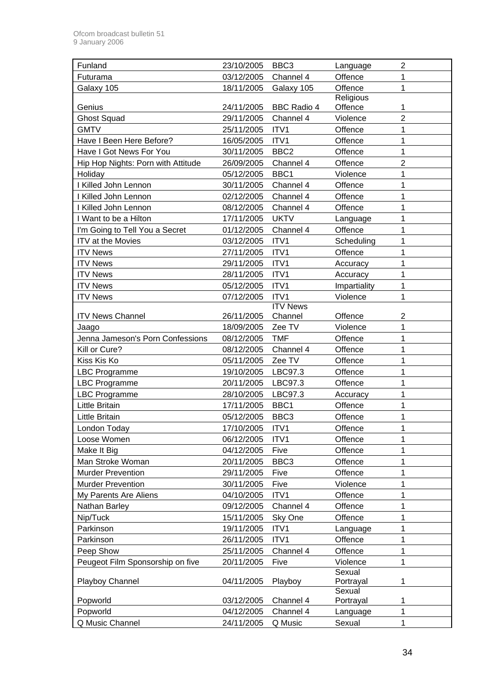| Funland                            | 23/10/2005 | BBC <sub>3</sub>   | Language     | $\overline{c}$ |
|------------------------------------|------------|--------------------|--------------|----------------|
| Futurama                           | 03/12/2005 | Channel 4          | Offence      | 1              |
| Galaxy 105                         | 18/11/2005 | Galaxy 105         | Offence      | 1              |
|                                    |            |                    | Religious    |                |
| Genius                             | 24/11/2005 | <b>BBC Radio 4</b> | Offence      | 1              |
| <b>Ghost Squad</b>                 | 29/11/2005 | Channel 4          | Violence     | $\overline{2}$ |
| <b>GMTV</b>                        | 25/11/2005 | ITV1               | Offence      | 1              |
| Have I Been Here Before?           | 16/05/2005 | ITV1               | Offence      | $\mathbf 1$    |
| Have I Got News For You            | 30/11/2005 | BBC <sub>2</sub>   | Offence      | 1              |
| Hip Hop Nights: Porn with Attitude | 26/09/2005 | Channel 4          | Offence      | $\overline{2}$ |
| Holiday                            | 05/12/2005 | BBC1               | Violence     | 1              |
| I Killed John Lennon               | 30/11/2005 | Channel 4          | Offence      | 1              |
| I Killed John Lennon               | 02/12/2005 | Channel 4          | Offence      | $\overline{1}$ |
| I Killed John Lennon               | 08/12/2005 | Channel 4          | Offence      | 1              |
| I Want to be a Hilton              | 17/11/2005 | <b>UKTV</b>        | Language     | $\mathbf 1$    |
| I'm Going to Tell You a Secret     | 01/12/2005 | Channel 4          | Offence      | 1              |
| ITV at the Movies                  | 03/12/2005 | ITV1               | Scheduling   | 1              |
| <b>ITV News</b>                    | 27/11/2005 | ITV1               | Offence      | 1              |
| <b>ITV News</b>                    | 29/11/2005 | ITV1               | Accuracy     | 1              |
| <b>ITV News</b>                    | 28/11/2005 | ITV1               | Accuracy     | $\mathbf 1$    |
| <b>ITV News</b>                    | 05/12/2005 | ITV1               | Impartiality | 1              |
| <b>ITV News</b>                    | 07/12/2005 | ITV1               | Violence     | $\overline{1}$ |
|                                    |            | <b>ITV News</b>    |              |                |
| <b>ITV News Channel</b>            | 26/11/2005 | Channel            | Offence      | $\overline{c}$ |
| Jaago                              | 18/09/2005 | Zee TV             | Violence     | 1              |
| Jenna Jameson's Porn Confessions   | 08/12/2005 | <b>TMF</b>         | Offence      | 1              |
| Kill or Cure?                      | 08/12/2005 | Channel 4          | Offence      | 1              |
| Kiss Kis Ko                        | 05/11/2005 | Zee TV             | Offence      | 1              |
| LBC Programme                      | 19/10/2005 | LBC97.3            | Offence      | 1              |
| <b>LBC Programme</b>               | 20/11/2005 | LBC97.3            | Offence      | 1              |
| <b>LBC Programme</b>               | 28/10/2005 | LBC97.3            | Accuracy     | 1              |
| <b>Little Britain</b>              | 17/11/2005 | BBC1               | Offence      | 1              |
| <b>Little Britain</b>              | 05/12/2005 | BBC <sub>3</sub>   | Offence      | 1              |
| London Today                       | 17/10/2005 | ITV <sub>1</sub>   | Offence      | 1              |
| Loose Women                        | 06/12/2005 | ITV1               | Offence      | 1              |
| Make It Big                        | 04/12/2005 | Five               | Offence      | 1              |
| Man Stroke Woman                   | 20/11/2005 | BBC <sub>3</sub>   | Offence      | 1              |
| <b>Murder Prevention</b>           | 29/11/2005 | Five               | Offence      | 1              |
| <b>Murder Prevention</b>           | 30/11/2005 | Five               | Violence     | 1              |
| My Parents Are Aliens              | 04/10/2005 | ITV1               | Offence      | 1              |
| Nathan Barley                      | 09/12/2005 | Channel 4          | Offence      | 1              |
| Nip/Tuck                           | 15/11/2005 | Sky One            | Offence      | $\overline{1}$ |
| Parkinson                          | 19/11/2005 | ITV1               | Language     | 1              |
| Parkinson                          | 26/11/2005 | ITV1               | Offence      | $\mathbf 1$    |
| Peep Show                          | 25/11/2005 | Channel 4          | Offence      | 1              |
| Peugeot Film Sponsorship on five   | 20/11/2005 | Five               | Violence     | 1              |
|                                    |            |                    | Sexual       |                |
| Playboy Channel                    | 04/11/2005 | Playboy            | Portrayal    | 1              |
|                                    |            |                    | Sexual       |                |
| Popworld                           | 03/12/2005 | Channel 4          | Portrayal    | 1              |
| Popworld                           | 04/12/2005 | Channel 4          | Language     | 1              |
| Q Music Channel                    | 24/11/2005 | Q Music            | Sexual       | 1              |